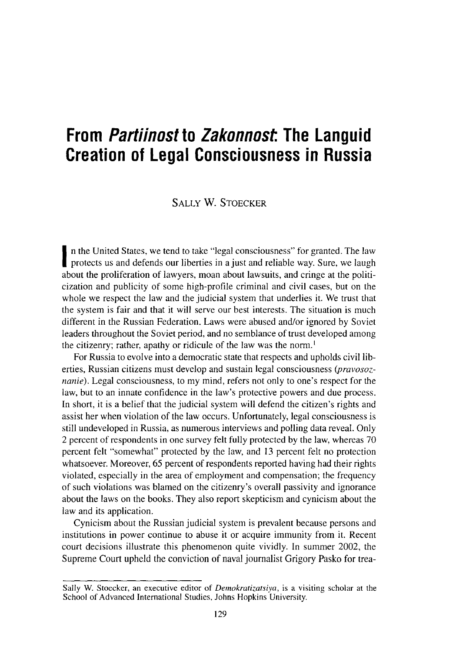# **From** Partiinost to Zakonnost. **The Languid Creation of legal Consciousness in Russia**

## SALLY W. STOECKER

**I** protects us and defends our liberties in a just and reliable way. Sure, we laugh n the United States, we tend to take "legal consciousness" for granted. The law about the proliferation of lawyers, moan about lawsuits, and cringe at the politicization and publicity of some high-profile criminal and civil cases, but on the whole we respect the law and the judicial system that underlies it. We trust that the system is fair and that it will serve our best interests. The situation is much different in the Russian Federation. Laws were abused and/or ignored by Soviet leaders throughout the Soviet period, and no semblance of trust developed among the citizenry; rather, apathy or ridicule of the law was the norm.<sup>1</sup>

For Russia to evolve into a democratic state that respects and upholds civil liberties, Russian citizens must develop and sustain legal consciousness *(pravosoznanie).* Legal consciousness, to my mind, refers not only to one's respect for the law, but to an innate confidence in the law's protective powers and due process. In short, it is a belief that the judicial system will defend the citizen's rights and assist her when violation of the law occurs. Unfortunately, legal consciousness is still undeveloped in Russia, as numerous interviews and polling data reveal. Only 2 percent of respondents in one survey felt fully protected by the law, whereas 70 percent felt "somewhat" protected by the law, and 13 percent felt no protection whatsoever. Moreover, 65 percent of respondents reported having had their rights violated, especially in the area of employment and compensation; the frequency of such violations was blamed on the citizenry's overall passivity and ignorante about the laws on the books. They also report skepticism and cynicism about the **law and its application.**

Cynicism about the Russian judicial system is prevalent because persons and **institutions in power continue to abuse it or acquire immunity from it. Recent** court decisions illustrate this phenomenon quite vividly. In summer 2002, the Supreme Court upheld the conviction of naval journalist Grigory Pasko for trea-

Sally W. Stoecker, an executive editor of *Demokratizatsiya*, is a visiting scholar at the School of Advanced **International Studies, Johns Hopkins** University.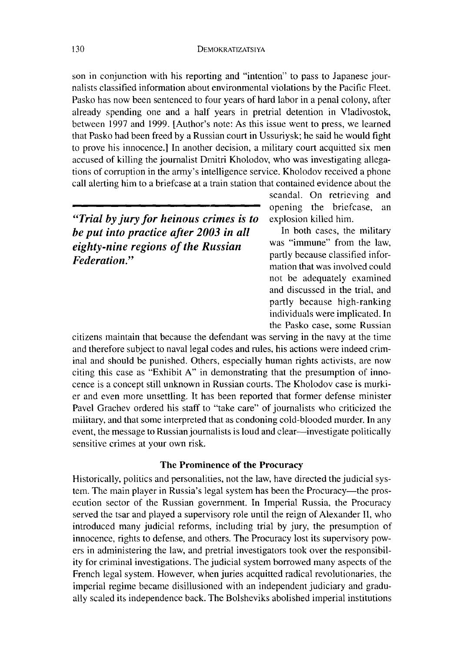son in conjunction with his reporting and "intention" to pass to Japanese journalists classified information about environmental violations by the Pacific Fleet. Pasko has now been sentenced to four years of hard labor in a penal colony, after already spending one and a half years in pretrial detention in Vladivostok, between 1997 and 1999. [Author's note: As this issue went to press, we learned that Pasko had been freed by a Russian court in Ussuriysk; he said he would fight to prove his innocence.] In another decision, a military court acquitted six men accused of killing the journalist Dmitri Kholodov, who was investigating allega**tions** of corruption in the army's intelligence service. Kholodov received a phone call alerting him to a briefcase at a train station that contained evidence about the

*"Trial by jury for heinous crimes is to* explosion killed him. *be put into practice after* 2003 in all In both cases, the military *cichty* ring racions of the *Pussian* was "immune" from the law, *eighty-nine regions of the Russian Federation*<sup>?</sup> *Federation*<sup>?</sup> *partly because classified infor-*

scandal. On retrieving and opening the briefcase, an

mation that was involved could not be adequately examined and discussed in the trial, and partly because high-ranking individuals were implicated. In the Pasko case, some Russian

citizens maintain that because the defendant was serving in the navy at the time and therefore subject to naval legal codes and rules, his actions were indeed criminal and should be punished. Others, especially human rights activists, are now citing this case as "Exhibit A" in demonstrating that the presumption of innocence is a concept still unknown in Russian courts. The Kholodov case is murkier and even more unsettling. It has been reported that former defense minister Pavel Grachev ordered his staff to "take care" of journalists who criticized the military, and that some interpreted that as condoning cold-blooded murder. In any event, the message to Russian journalists is loud and clear-investigate politically sensitive crimes at your own risk.

#### **The Prominence of the Procuracy**

Historically, politics and personalities, not the law, have directed the judicial system. The main player in Russia's legal system has been the Procuracy—the prosecution sector of the Russian government. In Imperial Russia, the Procuracy served the tsar and played a supervisory role until the reign of Alexander II, who introduced many judicial reforms, including trial by jury, the presumption of innocence, rights to defense, and others. The Procuracy lost its supervisory powers in administering the law, and pretrial investigators took over the responsibility for criminal investigations. The judicial system borrowed many aspects of the French legal system. However, when juries acquitted radical revolutionaries, the imperial regime became disillusioned with an independent judiciary and gradually scaled its independence back. The Bolsheviks abolished imperial institutions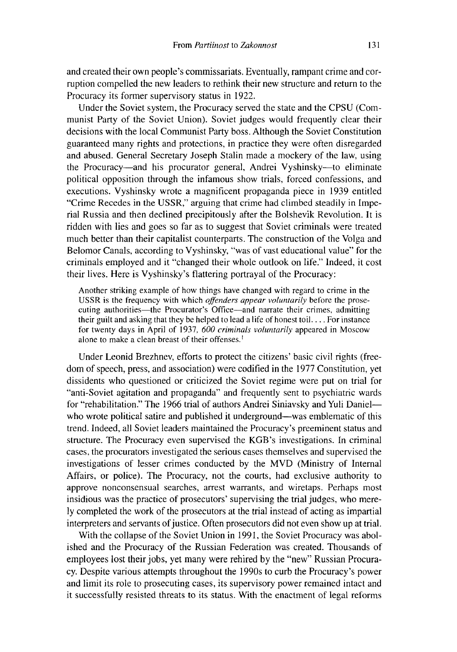and created their own people's commissariats. Eventually, rampant crime and corruption compelled the new leaders to rethink their new structure and return to the Procuracy its former supervisory status in 1922.

Under the Soviet system, the Procuracy served the state and the CPSU (Communist Party of the Soviet Union). Soviet judges would frequently clear their decisions with the local Communist Party boss. Although the Soviet Constitution guaranteed many rights and protections, in practice they were often disregarded and abused. General Secretary Joseph Stalin made a mockery of the law, using the Procuracy-and his procurator general, Andrei Vyshinsky-**to eliminate** political opposition through the infamous show trials, torced confessions, and executions. Vyshinsky wrote a magnificent propaganda piece in 1939 entitled "Crime Recedes in the USSR," arguing that crime had climbed steadily in Impe**rial Russia** and then declined precipitously after the Bolshevik Revolution. It is ridden with lies and goes so far as to suggest that Soviet criminals were treated much better than their capitalist counterparts. The construction of the Volga and Belomor Canals, according to Vyshinsky, "was of vast educational value" for the criminals employed and it "changed their whole outlook on life." Indeed, it cost their lives. Here is Vyshinsky's flattering portrayal of the Procuracy:

Another striking example of how things have changed with regard to crime in the USSR is the frequency with which *offenders appear voluntarily* before the prose**cuting authorities**-the Procurator's Office-**and narrate** their crimes, **admitting their guilt** and asking that they be helped to lead a life of honest toil.... For instance for twenty days in April of 1937, *600 criminals voluntarily* appeared in Moscow alone to make a clean breast of their offenses.'

Under Leonid Brezhnev, efforts to protect the citizens' basic civil rights (freedom of speech, press, and association) were codified in the 1977 Constitution, yet dissidents who questioned or criticized the Soviet regime were put on trial for "anti-Soviet agitation and propaganda" and frequently sent to psychiatric wards for "rehabilitation." The 1966 trial of authors Andrei Siniavsky and Yuli Danielwho wrote political satire and published it underground—was emblematic of this trend. Indeed, all Soviet leaders maintained the Procuracy's preeminent status and structure. The Procuracy even supervised the KGB's investigations. In criminal cases, the procurators investigated the serious cases themselves and supervised the investigations of lesser crimes conducted by the MVD (Ministry of Internal Affairs, or police). The Procuracy, not the courts, had exclusive authority to approve nonconsensual searches, arrest warrants, and wiretaps. Perhaps most insidious was the practice of prosecutors' supervising the trial judges, who mere-]y completed the work of the prosecutors at the trial instead of acting as impartial interpreters and servants of justice. Often prosecutors did not even show up at trial.

With the collapse of the Soviet Union in 1991, the Soviet Procuracy was abolished and the Procuracy of the Russian Federation was created. Thousands of employees lost their jobs, yet many were rehired by the "new" Russian Procuracy. Despite various attempts throughout the 1990s to curb the Procuracy's power and limit its role to prosecuting cases, its supervisory power remained intact and it successfully resisted threats to its status. With the enactment of legal reforms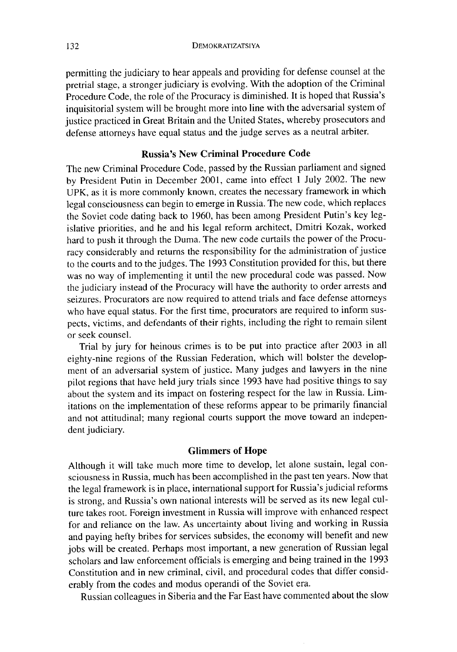permitting the judiciary to hear appeals and providing for defense counsel at the pretrial stage, a stronger judiciary is evolving. With the adoption of the Criminal Procedure Code, the role of the Procuracy is diminished. It is hoped that Russia's inquisitorial system will be brought more into line with the adversarial system of justice practiced in Great Britain and the United States, whereby prosecutors and defense attorneys have equal status and the judge serves as a neutral arbiter.

### **Russia**'**s New Criminal Procedure Code**

The new Criminal Procedure Code, passed by the Russian parliament and signed by President Putin in December 2001, carne into effect 1 July 2002. The new UPK, as it is more commonly known, creates the necessary framework in which legal consciousness can begin to emerge in Russia. The new code, which replaces the Soviet code dating back to 1960, has been among President Putin's key legislative priorities, and he and his legal reform architect, Dmitri Kozak, worked hard to push it through the Duma. The new code curtails the power of the Procuracy considerably and returns the responsibility for the administration of justice to the courts and to the judges. The 1993 Constitution provided for this, but there was no way of implementing it until the new procedural code was passed. Now the judiciary instead of the Procuracy will have the authority to order arrests and seizures. Procurators are now required to attend trials and face defense attorneys who have equal status. For the first time, procurators are required to inform suspects, victims, and defendants of their rights, including the right to **remain silent** or seek counsel.

Trial by jury for heinous crimes is to be put into practice after 2003 in all eighty-nine regions of the Russian Federation, which will bolster the development of an adversarial system of justice. Many judges and lawyers in the nine pilot regions that have held jury trials since 1993 have had positive things to say about the system and its impact on fostering respect for the law in Russia. Limitations on the implementation of these reforms appear to be primarily financial and not attitudinal; many regional courts support the move toward an independent judiciary.

#### **Glimmers of Hope**

Although it will take much more time to develop, let alone sustain, legal consciousness **in Russia**, much has been accomplished in ithe past ten years. Now that the legal framework is in place, international support for Russia's judicial reforms is strong, and Russia's own national interests will be served as its new legal culture takes root. Foreign investment in Russia will improve with enhanced respect for and reliance on the law. As uncertainty about living and working **in Russia** and paying hefty bribes for services subsides, the economy will benefit and new jobs will be created. Perhaps most important, a new generation of Russian legal scholars and law enforcement officials is emerging and being trained in the 1993 Constitution **and in** new criminal, civil, and procedural codes that differ considerably from the codes and modus operandi of the Soviet era.

Russian colleagues in Siberia and the Far East have commented about the slow